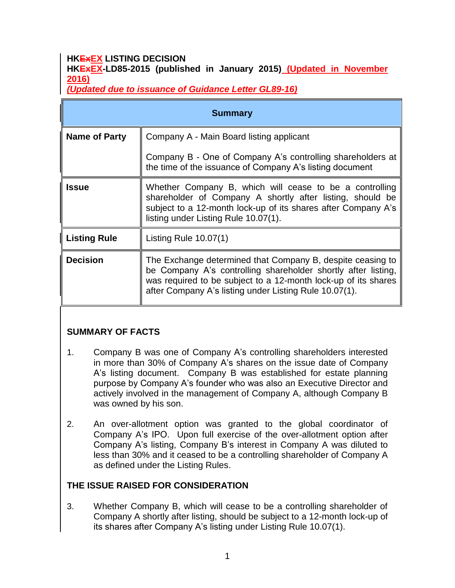#### **HKExEX LISTING DECISION HKExEX-LD85-2015 (published in January 2015) (Updated in November 2016)**

*(Updated due to issuance of Guidance Letter GL89-16)*

| <b>Summary</b>       |                                                                                                                                                                                                                                                         |
|----------------------|---------------------------------------------------------------------------------------------------------------------------------------------------------------------------------------------------------------------------------------------------------|
| <b>Name of Party</b> | Company A - Main Board listing applicant                                                                                                                                                                                                                |
|                      | Company B - One of Company A's controlling shareholders at<br>the time of the issuance of Company A's listing document                                                                                                                                  |
| <b>Issue</b>         | Whether Company B, which will cease to be a controlling<br>shareholder of Company A shortly after listing, should be<br>subject to a 12-month lock-up of its shares after Company A's<br>listing under Listing Rule 10.07(1).                           |
| <b>Listing Rule</b>  | Listing Rule $10.07(1)$                                                                                                                                                                                                                                 |
| <b>Decision</b>      | The Exchange determined that Company B, despite ceasing to<br>be Company A's controlling shareholder shortly after listing,<br>was required to be subject to a 12-month lock-up of its shares<br>after Company A's listing under Listing Rule 10.07(1). |

## **SUMMARY OF FACTS**

- 1. Company B was one of Company A's controlling shareholders interested in more than 30% of Company A's shares on the issue date of Company A's listing document. Company B was established for estate planning purpose by Company A's founder who was also an Executive Director and actively involved in the management of Company A, although Company B was owned by his son.
- 2. An over-allotment option was granted to the global coordinator of Company A's IPO. Upon full exercise of the over-allotment option after Company A's listing, Company B's interest in Company A was diluted to less than 30% and it ceased to be a controlling shareholder of Company A as defined under the Listing Rules.

### **THE ISSUE RAISED FOR CONSIDERATION**

3. Whether Company B, which will cease to be a controlling shareholder of Company A shortly after listing, should be subject to a 12-month lock-up of its shares after Company A's listing under Listing Rule 10.07(1).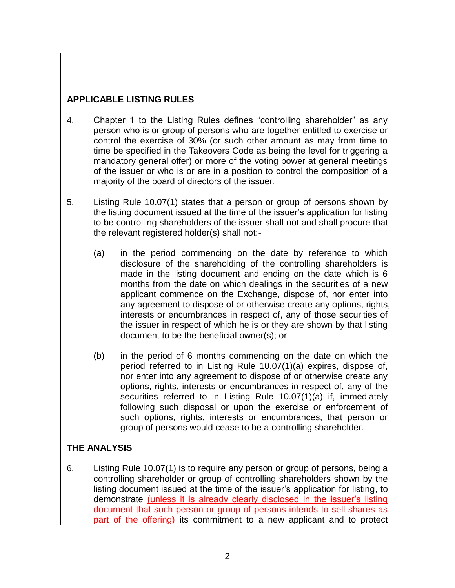## **APPLICABLE LISTING RULES**

- 4. Chapter 1 to the Listing Rules defines "controlling shareholder" as any person who is or group of persons who are together entitled to exercise or control the exercise of 30% (or such other amount as may from time to time be specified in the Takeovers Code as being the level for triggering a mandatory general offer) or more of the voting power at general meetings of the issuer or who is or are in a position to control the composition of a majority of the board of directors of the issuer.
- 5. Listing Rule 10.07(1) states that a person or group of persons shown by the listing document issued at the time of the issuer's application for listing to be controlling shareholders of the issuer shall not and shall procure that the relevant registered holder(s) shall not:-
	- (a) in the period commencing on the date by reference to which disclosure of the shareholding of the controlling shareholders is made in the listing document and ending on the date which is 6 months from the date on which dealings in the securities of a new applicant commence on the Exchange, dispose of, nor enter into any agreement to dispose of or otherwise create any options, rights, interests or encumbrances in respect of, any of those securities of the issuer in respect of which he is or they are shown by that listing document to be the beneficial owner(s); or
	- (b) in the period of 6 months commencing on the date on which the period referred to in Listing Rule 10.07(1)(a) expires, dispose of, nor enter into any agreement to dispose of or otherwise create any options, rights, interests or encumbrances in respect of, any of the securities referred to in Listing Rule 10.07(1)(a) if, immediately following such disposal or upon the exercise or enforcement of such options, rights, interests or encumbrances, that person or group of persons would cease to be a controlling shareholder.

### **THE ANALYSIS**

6. Listing Rule 10.07(1) is to require any person or group of persons, being a controlling shareholder or group of controlling shareholders shown by the listing document issued at the time of the issuer's application for listing, to demonstrate (unless it is already clearly disclosed in the issuer's listing document that such person or group of persons intends to sell shares as part of the offering) its commitment to a new applicant and to protect